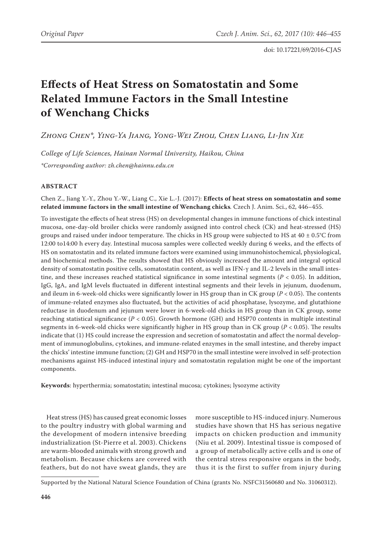# **Effects of Heat Stress on Somatostatin and Some Related Immune Factors in the Small Intestine of Wenchang Chicks**

*Zhong Chen\*, Ying-Ya Jiang, Yong-Wei Zhou, Chen Liang, Li-Jin Xie*

*College of Life Sciences, Hainan Normal University, Haikou, China \*Corresponding author: zh.chen@hainnu.edu.cn*

# **ABSTRACT**

Chen Z., Jiang Y.-Y., Zhou Y.-W., Liang C., Xie L.-J. (2017): **Effects of heat stress on somatostatin and some related immune factors in the small intestine of Wenchang chicks***.* Czech J. Anim. Sci., 62, 446–455.

To investigate the effects of heat stress (HS) on developmental changes in immune functions of chick intestinal mucosa, one-day-old broiler chicks were randomly assigned into control check (CK) and heat-stressed (HS) groups and raised under indoor temperature. The chicks in HS group were subjected to HS at  $40 \pm 0.5^{\circ}$ C from 12:00 to14:00 h every day. Intestinal mucosa samples were collected weekly during 6 weeks, and the effects of HS on somatostatin and its related immune factors were examined using immunohistochemical, physiological, and biochemical methods. The results showed that HS obviously increased the amount and integral optical density of somatostatin positive cells, somatostatin content, as well as IFN-γ and IL-2 levels in the small intestine, and these increases reached statistical significance in some intestinal segments ( $P < 0.05$ ). In addition, IgG, IgA, and IgM levels fluctuated in different intestinal segments and their levels in jejunum, duodenum, and ileum in 6-week-old chicks were significantly lower in HS group than in CK group (*P* < 0.05). The contents of immune-related enzymes also fluctuated, but the activities of acid phosphatase, lysozyme, and glutathione reductase in duodenum and jejunum were lower in 6-week-old chicks in HS group than in CK group, some reaching statistical significance (*P* < 0.05). Growth hormone (GH) and HSP70 contents in multiple intestinal segments in 6-week-old chicks were significantly higher in HS group than in CK group (*P* < 0.05). The results indicate that (1) HS could increase the expression and secretion of somatostatin and affect the normal development of immunoglobulins, cytokines, and immune-related enzymes in the small intestine, and thereby impact the chicks' intestine immune function; (2) GH and HSP70 in the small intestine were involved in self-protection mechanisms against HS-induced intestinal injury and somatostatin regulation might be one of the important components.

**Keywords**: hyperthermia; somatostatin; intestinal mucosa; cytokines; lysozyme activity

Heat stress (HS) has caused great economic losses to the poultry industry with global warming and the development of modern intensive breeding industrialization (St-Pierre et al. 2003). Chickens are warm-blooded animals with strong growth and metabolism. Because chickens are covered with feathers, but do not have sweat glands, they are

more susceptible to HS-induced injury. Numerous studies have shown that HS has serious negative impacts on chicken production and immunity (Niu et al. 2009). Intestinal tissue is composed of a group of metabolically active cells and is one of the central stress responsive organs in the body, thus it is the first to suffer from injury during

Supported by the National Natural Science Foundation of China (grants No. NSFC31560680 and No. 31060312).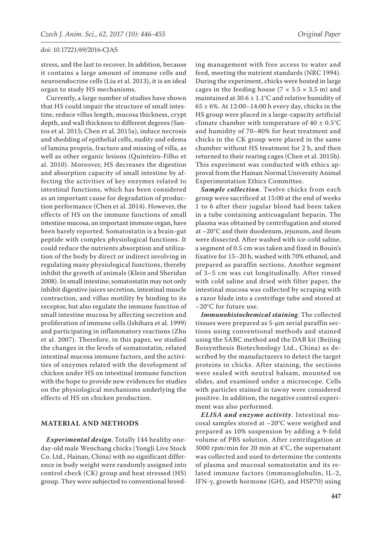stress, and the last to recover. In addition, because it contains a large amount of immune cells and neuroendocrine cells (Liu et al. 2013), it is an ideal organ to study HS mechanisms.

Currently, a large number of studies have shown that HS could impair the structure of small intestine, reduce villus length, mucosa thickness, crypt depth, and wall thickness to different degrees (Santos et al. 2015; Chen et al. 2015a), induce necrosis and shedding of epithelial cells, nudity and edema of lamina propria, fracture and missing of villa, as well as other organic lesions (Quinteiro-Filho et al. 2010). Moreover, HS decreases the digestion and absorption capacity of small intestine by affecting the activities of key enzymes related to intestinal functions, which has been considered as an important cause for degradation of production performance (Chen et al. 2014). However, the effects of HS on the immune functions of small intestine mucosa, an important immune organ, have been barely reported. Somatostatin is a brain-gut peptide with complex physiological functions. It could reduce the nutrients absorption and utilization of the body by direct or indirect involving in regulating many physiological functions, thereby inhibit the growth of animals (Klein and Sheridan 2008). In small intestine, somatostatin may not only inhibit digestive juices secretion, intestinal muscle contraction, and villus motility by binding to its receptor, but also regulate the immune function of small intestine mucosa by affecting secretion and proliferation of immune cells (Ishihara et al. 1999) and participating in inflammatory reactions (Zhu et al. 2007). Therefore, in this paper, we studied the changes in the levels of somatostatin, related intestinal mucosa immune factors, and the activities of enzymes related with the development of chicken under HS on intestinal immune function with the hope to provide new evidences for studies on the physiological mechanisms underlying the effects of HS on chicken production.

## **MATERIAL AND METHODS**

*Experimental design*. Totally 144 healthy oneday-old male Wenchang chicks (YongJi Live Stock Co. Ltd., Hainan, China) with no significant difference in body weight were randomly assigned into control check (CK) group and heat stressed (HS) group. They were subjected to conventional breeding management with free access to water and feed, meeting the nutrient standards (NRC 1994). During the experiment, chicks were hosted in large cages in the feeding house ( $7 \times 3.5 \times 3.5$  m) and maintained at  $30.6 \pm 1.1$ °C and relative humidity of  $65 \pm 6$ %. At 12:00–14:00 h every day, chicks in the HS group were placed in a large-capacity artificial climate chamber with temperature of  $40 \pm 0.5^{\circ}$ C and humidity of 70–80% for heat treatment and chicks in the CK group were placed in the same chamber without HS treatment for 2 h, and then returned to their rearing cages (Chen et al. 2015b). This experiment was conducted with ethics approval from the Hainan Normal University Animal Experimentation Ethics Committee.

*Sample collection*. Twelve chicks from each group were sacrificed at 15:00 at the end of weeks 1 to 6 after their jugular blood had been taken in a tube containing anticoagulant heparin. The plasma was obtained by centrifugation and stored at –20°C and their duodenum, jejunum, and ileum were dissected. After washed with ice-cold saline, a segment of 0.5 cm was taken and fixed in Bouin's fixative for 15–20 h, washed with 70% ethanol, and prepared as paraffin sections. Another segment of 3–5 cm was cut longitudinally. After rinsed with cold saline and dried with filter paper, the intestinal mucosa was collected by scraping with a razor blade into a centrifuge tube and stored at –20°C for future use.

*Immunohistochemical staining*. The collected tissues were prepared as 5-μm serial paraffin sections using conventional methods and stained using the SABC method and the DAB kit (Beijing Boisynthesis Biotechnology Ltd., China) as described by the manufacturers to detect the target proteins in chicks. After staining, the sections were sealed with neutral balsam, mounted on slides, and examined under a microscope. Cells with particles stained in tawny were considered positive. In addition, the negative control experiment was also performed.

*ELISA and enzyme activity*. Intestinal mucosal samples stored at –20°C were weighed and prepared as 10% suspension by adding a 9-fold volume of PBS solution. After centrifugation at 3000 rpm/min for 20 min at 4°C, the supernatant was collected and used to determine the contents of plasma and mucosal somatostatin and its related immune factors (immunoglobulin, IL-2, IFN-γ, growth hormone (GH), and HSP70) using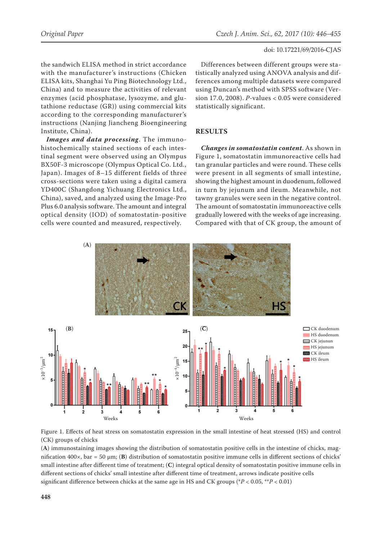the sandwich ELISA method in strict accordance with the manufacturer's instructions (Chicken ELISA kits, Shanghai Yu Ping Biotechnology Ltd., China) and to measure the activities of relevant enzymes (acid phosphatase, lysozyme, and glutathione reductase (GR)) using commercial kits according to the corresponding manufacturer's instructions (Nanjing Jiancheng Bioengineering Institute, China).

*Images and data processing*. The immunohistochemically stained sections of each intestinal segment were observed using an Olympus BX50F-3 microscope (Olympus Optical Co. Ltd., Japan). Images of 8–15 different fields of three cross-sections were taken using a digital camera YD400C (Shangdong Yichuang Electronics Ltd., China), saved, and analyzed using the Image-Pro Plus 6.0 analysis software. The amount and integral optical density (IOD) of somatostatin-positive cells were counted and measured, respectively.

Differences between different groups were statistically analyzed using ANOVA analysis and differences among multiple datasets were compared using Duncan's method with SPSS software (Version 17.0, 2008). *P-*values < 0.05 were considered statistically significant.

# **RESULTS**

*Changes in somatostatin content*. As shown in Figure 1, somatostatin immunoreactive cells had tan granular particles and were round. These cells were present in all segments of small intestine, showing the highest amount in duodenum, followed in turn by jejunum and ileum. Meanwhile, not tawny granules were seen in the negative control. The amount of somatostatin immunoreactive cells gradually lowered with the weeks of age increasing. Compared with that of CK group, the amount of





(**A**) immunostaining images showing the distribution of somatostatin positive cells in the intestine of chicks, magnification 400×, bar = 50 μm; (**B**) distribution of somatostatin positive immune cells in different sections of chicks' small intestine after different time of treatment; (**C**) integral optical density of somatostatin positive immune cells in different sections of chicks' small intestine after different time of treatment, arrows indicate positive cells significant difference between chicks at the same age in HS and CK groups (\**P* < 0.05, \*\**P* < 0.01)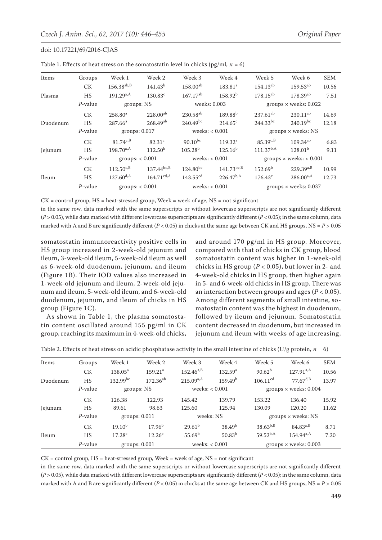| Items    | Groups     | Week 1            | Week 2                 | Week 3               | Week 4              | Week 5                           | Week 6                       | <b>SEM</b> |
|----------|------------|-------------------|------------------------|----------------------|---------------------|----------------------------------|------------------------------|------------|
|          | <b>CK</b>  | $156.38^{ab,B}$   | $141.43^{b}$           | $158.00^{ab}$        | 183.81 <sup>a</sup> | 154.13 <sup>ab</sup>             | 159.53 <sup>ab</sup>         | 10.56      |
| Plasma   | HS         | $191.29^{a,A}$    | $130.83^{\circ}$       | $167.17^{ab}$        | $158.92^b$          | $178.15^{ab}$                    | 178.39ab                     | 7.51       |
|          | $P$ -value | groups: NS        |                        |                      | weeks: 0.003        |                                  | groups $\times$ weeks: 0.022 |            |
| Duodenum | <b>CK</b>  | $258.80^a$        | $228.00^{ab}$          | 230.58 <sup>ab</sup> | $189.88^{b}$        | $237.61^{ab}$                    | $230.11^{ab}$                | 14.69      |
|          | <b>HS</b>  | $287.66^a$        | $268.49^{ab}$          | $240.49^{bc}$        | $214.65^{\circ}$    | $244.33^{bc}$                    | $240.19^{bc}$                | 12.18      |
|          | $P$ -value | groups: 0.017     |                        | weeks: $< 0.001$     |                     | groups × weeks: NS               |                              |            |
|          | <b>CK</b>  | $81.74^{c,B}$     | 82.31 <sup>c</sup>     | $90.10^{bc}$         | 119.32 <sup>a</sup> | $85.39^{c,B}$                    | $109.34^{ab}$                | 6.83       |
| Jejunum  | HS         | $198.70^{a,A}$    | 112.50 <sup>b</sup>    | $105.28^{b}$         | $125.16^{b}$        | $111.37^{b,A}$                   | 128.01 <sup>b</sup>          | 9.11       |
|          | $P$ -value | groups: < 0.001   |                        | weeks: $< 0.001$     |                     | groups $\times$ weeks: $< 0.001$ |                              |            |
|          | <b>CK</b>  | $112.50^{c,B}$    | $137.44^{bc,B}$        | $124.80^{bc}$        | $141.73^{bc,B}$     | $152.69^{\rm b}$                 | $229.39^{a,B}$               | 10.99      |
| Ileum    | <b>HS</b>  | $127.60^{d,A}$    | $164.71^{\text{cd,A}}$ | $143.55^{\text{cd}}$ | $226.47^{b,A}$      | $176.43^{\circ}$                 | $286.00^{a,A}$               | 12.73      |
|          | $P$ -value | groups: $< 0.001$ |                        | weeks: $< 0.001$     |                     | groups $\times$ weeks: 0.037     |                              |            |

Table 1. Effects of heat stress on the somatostatin level in chicks (pg/ml,  $n = 6$ )

 $CK = control group$ ,  $HS = heat-stressed group$ ,  $Week = week of age$ ,  $NS = not significant$ 

in the same row, data marked with the same superscripts or without lowercase superscripts are not significantly different (*P* > 0.05), while data marked with different lowercase superscripts are significantly different (*P* < 0.05); in the same column, data marked with A and B are significantly different (*P* < 0.05) in chicks at the same age between CK and HS groups, NS = *P* > 0.05

somatostatin immunoreactivity positive cells in HS group increased in 2-week-old jejunum and ileum, 3-week-old ileum, 5-week-old ileum as well as 6-week-old duodenum, jejunum, and ileum (Figure 1B). Their IOD values also increased in 1-week-old jejunum and ileum, 2-week-old jejunum and ileum, 5-week-old ileum, and 6-week-old duodenum, jejunum, and ileum of chicks in HS group (Figure 1C).

As shown in Table 1, the plasma somatostatin content oscillated around 155 pg/ml in CK group, reaching its maximum in 4-week-old chicks,

and around 170 pg/ml in HS group. Moreover, compared with that of chicks in CK group, blood somatostatin content was higher in 1-week-old chicks in HS group (*P* < 0.05), but lower in 2- and 4-week-old chicks in HS group, then higher again in 5- and 6-week-old chicks in HS group. There was an interaction between groups and ages (*P* < 0.05). Among different segments of small intestine, somatostatin content was the highest in duodenum, followed by ileum and jejunum. Somatostatin content decreased in duodenum, but increased in jejunum and ileum with weeks of age increasing,

|  |  | Table 2. Effects of heat stress on acidic phosphatase activity in the small intestine of chicks (U/g protein, $n = 6$ ) |
|--|--|-------------------------------------------------------------------------------------------------------------------------|
|--|--|-------------------------------------------------------------------------------------------------------------------------|

| Items    | Groups     | Week 1           | Week 2              | Week 3             | Week 4              | Week 5                       | Week 6         | <b>SEM</b> |
|----------|------------|------------------|---------------------|--------------------|---------------------|------------------------------|----------------|------------|
|          | <b>CK</b>  | $138.05^{\rm a}$ | 159.21 <sup>a</sup> | $152.46^{a,B}$     | 132.59 <sup>a</sup> | $90.62^{b}$                  | $127.91^{a,A}$ | 10.56      |
| Duodenum | <b>HS</b>  | $132.99^{bc}$    | $172.36^{ab}$       | $215.09^{a,A}$     | 159.49 <sup>b</sup> | 106.11 <sup>cd</sup>         | $77.67^{d,B}$  | 13.97      |
|          | $P$ -value | groups: NS       |                     | weeks: $< 0.001$   |                     | groups $\times$ weeks: 0.004 |                |            |
|          | <b>CK</b>  | 126.38           | 122.93              | 145.42             | 139.79              | 153.22                       | 136.40         | 15.92      |
| Jejunum  | HS         | 89.61            | 98.63               | 125.60             | 125.94              | 130.09                       | 120.20         | 11.62      |
|          | $P$ -value | groups: $0.011$  |                     | weeks: NS          |                     | groups $\times$ weeks: NS    |                |            |
|          | СK         | $19.10^{b}$      | 17.96 <sup>b</sup>  | $29.61^{b}$        | $38.49^{b}$         | $38.63^{b,B}$                | $84.83^{a,B}$  | 8.71       |
| Ileum    | <b>HS</b>  | $17.28^{\circ}$  | 12.26 <sup>c</sup>  | 55.69 <sup>b</sup> | $50.83^{b}$         | $59.52^{b,A}$                | $154.94^{a,A}$ | 7.20       |
|          | $P$ -value | groups: $0.001$  |                     | weeks: $< 0.001$   |                     | groups $\times$ weeks: 0.003 |                |            |

CK = control group, HS = heat-stressed group, Week = week of age, NS = not significant

in the same row, data marked with the same superscripts or without lowercase superscripts are not significantly different (*P* > 0.05), while data marked with different lowercase superscripts are significantly different (*P* < 0.05); in the same column, data marked with A and B are significantly different ( $P < 0.05$ ) in chicks at the same age between CK and HS groups,  $NS = P > 0.05$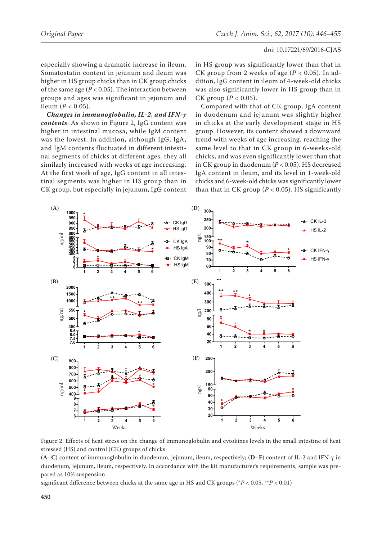especially showing a dramatic increase in ileum. Somatostatin content in jejunum and ileum was higher in HS group chicks than in CK group chicks of the same age ( $P < 0.05$ ). The interaction between groups and ages was significant in jejunum and ileum ( $P < 0.05$ ).

*Changes in immunoglobulin, IL-2, and IFN-γ contents*. As shown in Figure 2, IgG content was higher in intestinal mucosa, while IgM content was the lowest. In addition, although IgG, IgA, and IgM contents fluctuated in different intestinal segments of chicks at different ages, they all similarly increased with weeks of age increasing. At the first week of age, IgG content in all intestinal segments was higher in HS group than in CK group, but especially in jejunum, IgG content in HS group was significantly lower than that in CK group from 2 weeks of age (*P* < 0.05). In addition, IgG content in ileum of 4-week-old chicks was also significantly lower in HS group than in CK group  $(P < 0.05)$ .

Compared with that of CK group, IgA content in duodenum and jejunum was slightly higher in chicks at the early development stage in HS group. However, its content showed a downward trend with weeks of age increasing, reaching the same level to that in CK group in 6-weeks-old chicks, and was even significantly lower than that in CK group in duodenum (*P* < 0.05). HS decreased IgA content in ileum, and its level in 1-week-old chicks and 6-week-old chicks was significantly lower than that in CK group ( $P < 0.05$ ). HS significantly



Figure 2. Effects of heat stress on the change of immunoglobulin and cytokines levels in the small intestine of heat stressed (HS) and control (CK) groups of chicks

(**A**–**C**) content of immunoglobulin in duodenum, jejunum, ileum, respectively; (**D**–**F**) content of IL-2 and IFN-γ in duodenum, jejunum, ileum, respectively. In accordance with the kit manufacturer's requirements, sample was prepared as 10% suspension

significant difference between chicks at the same age in HS and CK groups (\**P* < 0.05, \*\**P* < 0.01)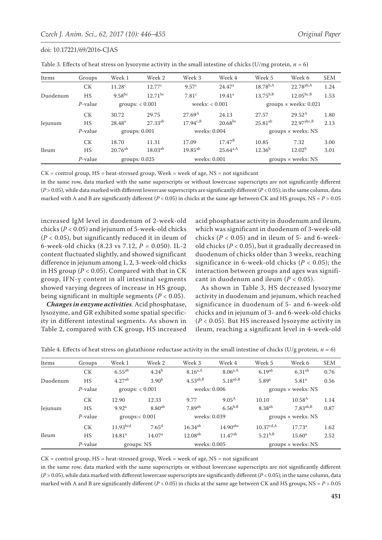| Items    | Groups     | Week 1             | Week 2                | Week 3             | Week 4             | Week 5             | Week 6                       | <b>SEM</b> |
|----------|------------|--------------------|-----------------------|--------------------|--------------------|--------------------|------------------------------|------------|
|          | <b>CK</b>  | 11.28 <sup>c</sup> | 12.77 <sup>c</sup>    | 9.57 <sup>c</sup>  | 24.47 <sup>a</sup> | $18.78^{b,A}$      | $22.78^{ab,A}$               | 1.24       |
| Duodenum | HS         | $9.58^{bc}$        | $12.71$ <sup>bc</sup> | 7.81 <sup>c</sup>  | 19.41 <sup>a</sup> | $13.75^{b,B}$      | $12.05^{bc,B}$               | 1.53       |
|          | $P$ -value | groups: < 0.001    |                       | weeks: $< 0.001$   |                    |                    | groups $\times$ weeks: 0.021 |            |
|          | <b>CK</b>  | 30.72              | 29.75                 | 27.69 <sup>A</sup> | 24.13              | 27.57              | $29.52^{\rm A}$              | 1.80       |
| Jejunum  | HS         | $28.48^{a}$        | $27.33^{ab}$          | $17.94^{c,B}$      | $20.68^{bc}$       | $25.81^{ab}$       | $22.97^{\text{abc},B}$       | 2.13       |
|          | $P$ -value | groups: 0.001      |                       | weeks: 0.004       |                    | groups × weeks: NS |                              |            |
|          | <b>CK</b>  | 18.70              | 11.31                 | 17.09              | $17.47^{\rm B}$    | 10.85              | 7.32                         | 3.00       |
| Ileum    | <b>HS</b>  | $20.76^{ab}$       | $18.03^{ab}$          | $19.85^{ab}$       | $25.64^{a,A}$      | $12.36^{b}$        | 12.02 <sup>b</sup>           | 3.01       |
|          | $P$ -value |                    | groups: $0.025$       |                    | weeks: 0.001       |                    | groups $\times$ weeks: NS    |            |

Table 3. Effects of heat stress on lysozyme activity in the small intestine of chicks (U/mg protein,  $n = 6$ )

 $CK = control group$ ,  $HS = heat-stressed group$ ,  $Week = week of age$ ,  $NS = not significant$ 

in the same row, data marked with the same superscripts or without lowercase superscripts are not significantly different (*P* > 0.05), while data marked with different lowercase superscripts are significantly different (*P* < 0.05); in the same column, data marked with A and B are significantly different (*P* < 0.05) in chicks at the same age between CK and HS groups, NS = *P* > 0.05

increased IgM level in duodenum of 2-week-old chicks (*P* < 0.05) and jejunum of 5-week-old chicks (*P* < 0.05), but significantly reduced it in ileum of 6-week-old chicks (8.23 vs 7.12, *P* = 0.050). IL-2 content fluctuated slightly, and showed significant difference in jejunum among 1, 2, 3-week-old chicks in HS group (*P* < 0.05). Compared with that in CK group, IFN-γ content in all intestinal segments showed varying degrees of increase in HS group, being significant in multiple segments (*P* < 0.05).

*Changes in enzyme activities*. Acid phosphatase, lysozyme, and GR exhibited some spatial specificity in different intestinal segments. As shown in Table 2, compared with CK group, HS increased acid phosphatase activity in duodenum and ileum, which was significant in duodenum of 3-week-old chicks ( $P < 0.05$ ) and in ileum of 5- and 6-weekold chicks (*P* < 0.05), but it gradually decreased in duodenum of chicks older than 3 weeks, reaching significance in 6-week-old chicks (*P* < 0.05); the interaction between groups and ages was significant in duodenum and ileum (*P* < 0.05).

As shown in Table 3, HS decreased lysozyme activity in duodenum and jejunum, which reached significance in duodenum of 5- and 6-week-old chicks and in jejunum of 3- and 6-week-old chicks (*P* < 0.05). But HS increased lysozyme activity in ileum, reaching a significant level in 4-week-old

|  |  |  | Table 4. Effects of heat stress on glutathione reductase activity in the small intestine of chicks (U/g protein, $n = 6$ ) |  |
|--|--|--|----------------------------------------------------------------------------------------------------------------------------|--|
|  |  |  |                                                                                                                            |  |

| Items    | Groups     | Week 1               | Week 2             | Week 3             | Week 4            | Week 5                    | Week 6             | <b>SEM</b> |
|----------|------------|----------------------|--------------------|--------------------|-------------------|---------------------------|--------------------|------------|
|          | <b>CK</b>  | $6.55^{ab}$          | $4.24^{b}$         | $8.16^{a,A}$       | $8.06^{a,A}$      | 6.19 <sup>ab</sup>        | $6.31^{ab}$        | 0.76       |
| Duodenum | <b>HS</b>  | 4.27 <sup>ab</sup>   | 3.90 <sup>b</sup>  | $4.53^{ab,B}$      | $5.18^{ab,B}$     | 5.89 <sup>a</sup>         | 5.81 <sup>a</sup>  | 0.56       |
|          | $P$ -value | groups: < 0.001      |                    | weeks: 0.006       |                   |                           | groups × weeks: NS |            |
|          | <b>CK</b>  | 12.90                | 12.33              | 9.77               | $9.05^{\text{A}}$ | 10.10                     | $10.58^{A}$        | 1.14       |
| Jejunum  | HS         | 9.92 <sup>a</sup>    | $8.80^{ab}$        | 7.89 <sup>ab</sup> | $6.56^{b,B}$      | 8.38 <sup>ab</sup>        | $7.83^{ab,B}$      | 0.87       |
|          | $P$ -value | $groups: 0.001$      |                    | weeks: 0.039       |                   | groups $\times$ weeks: NS |                    |            |
| Ileum    | <b>CK</b>  | 11.93 <sup>bcd</sup> | $7.65^{\rm d}$     | $16.34^{ab}$       | $14.90$ abc       | 10.37 <sup>cd,A</sup>     | 17.73 <sup>a</sup> | 1.62       |
|          | HS         | 14.81 <sup>a</sup>   | 14.07 <sup>a</sup> | $12.08^{ab}$       | $11.47^{ab}$      | $5.21^{b,B}$              | 15.60 <sup>a</sup> | 2.52       |
|          | $P$ -value | groups: NS           |                    | weeks: 0.005       |                   | groups $\times$ weeks: NS |                    |            |

 $CK = control group$ ,  $HS = heat-stressed group$ ,  $Week = week of age$ ,  $NS = not significant$ 

in the same row, data marked with the same superscripts or without lowercase superscripts are not significantly different (*P* > 0.05), while data marked with different lowercase superscripts are significantly different (*P* < 0.05); in the same column, data marked with A and B are significantly different (*P* < 0.05) in chicks at the same age between CK and HS groups, NS = *P* > 0.05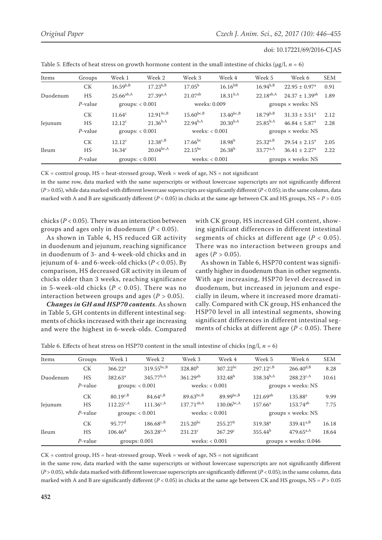| Items    | Groups     | Week 1            | Week 2         | Week 3           | Week 4             | Week 5                    | Week 6                        | <b>SEM</b> |
|----------|------------|-------------------|----------------|------------------|--------------------|---------------------------|-------------------------------|------------|
|          | <b>CK</b>  | $16.59^{b,B}$     | $17.23^{b,B}$  | $17.05^{\rm b}$  | $16.16^{bB}$       | $16.94^{b,B}$             | $22.95 \pm 0.97^{\text{a}}$   | 0.91       |
| Duodenum | <b>HS</b>  | $25.66^{ab,A}$    | $27.39^{a,A}$  | $21.07^{ab}$     | $18.31^{b,A}$      | $22.18^{ab,A}$            | $24.37 \pm 1.39^{ab}$         | 1.89       |
|          | $P$ -value | groups: $< 0.001$ |                | weeks: 0.009     |                    |                           | groups $\times$ weeks: NS     |            |
|          | <b>CK</b>  | $11.64^c$         | $12.91^{bc,B}$ | $15.60^{bc,B}$   | $13.40^{bc,B}$     | $18.79^{b,B}$             | $31.33 \pm 3.51^a$            | 2.12       |
| Jejunum  | <b>HS</b>  | $12.12^c$         | $21.36^{b,A}$  | $22.94^{b,A}$    | $20.30^{b,A}$      | $25.85^{b,A}$             | $46.84 \pm 5.87$ <sup>a</sup> | 2.28       |
|          | $P$ -value | groups: $< 0.001$ |                | weeks: $< 0.001$ |                    | groups $\times$ weeks: NS |                               |            |
| Ileum    | <b>CK</b>  | $12.12^c$         | $12.38^{c,B}$  | $17.66^{bc}$     | 18.98 <sup>b</sup> | $25.32^{a,B}$             | $29.54 \pm 2.15^a$            | 2.05       |
|          | <b>HS</b>  | $16.34^c$         | $20.04^{bc,A}$ | $22.15^{bc}$     | $26.38^{b}$        | $33.77^{a,A}$             | $36.41 \pm 2.27$ <sup>a</sup> | 2.22       |
|          | $P$ -value | groups: $< 0.001$ |                | weeks: $< 0.001$ |                    | groups $\times$ weeks: NS |                               |            |

| Table 5. Effects of heat stress on growth hormone content in the small intestine of chicks ( $\mu$ g/l, $n = 6$ ) |  |  |  |  |
|-------------------------------------------------------------------------------------------------------------------|--|--|--|--|
|-------------------------------------------------------------------------------------------------------------------|--|--|--|--|

 $CK = control group$ ,  $HS = heat-stressed group$ ,  $Week = week of age$ ,  $NS = not significant$ 

in the same row, data marked with the same superscripts or without lowercase superscripts are not significantly different (*P* > 0.05), while data marked with different lowercase superscripts are significantly different (*P* < 0.05); in the same column, data marked with A and B are significantly different (*P* < 0.05) in chicks at the same age between CK and HS groups, NS = *P* > 0.05

chicks (*P* < 0.05). There was an interaction between groups and ages only in duodenum (*P* < 0.05).

As shown in Table 4, HS reduced GR activity in duodenum and jejunum, reaching significance in duodenum of 3- and 4-week-old chicks and in jejunum of 4- and 6-week-old chicks (*P* < 0.05). By comparison, HS decreased GR activity in ileum of chicks older than 3 weeks, reaching significance in 5-week-old chicks (*P* < 0.05). There was no interaction between groups and ages (*P >* 0.05).

*Changes in GH and HSP70 contents*. As shown in Table 5, GH contents in different intestinal segments of chicks increased with their age increasing and were the highest in 6-week-olds. Compared with CK group, HS increased GH content, showing significant differences in different intestinal segments of chicks at different age (*P* < 0.05). There was no interaction between groups and ages  $(P > 0.05)$ .

As shown in Table 6, HSP70 content was significantly higher in duodenum than in other segments. With age increasing, HSP70 level decreased in duodenum, but increased in jejunum and especially in ileum, where it increased more dramatically. Compared with CK group, HS enhanced the HSP70 level in all intestinal segments, showing significant differences in different intestinal segments of chicks at different age (*P* < 0.05). There

Table 6. Effects of heat stress on HSP70 content in the small intestine of chicks (ng/l,  $n = 6$ )

| Items    | Groups     | Week 1               | Week 2          | Week 3              | Week 4              | Week 5                    | Week 6                       | <b>SEM</b> |
|----------|------------|----------------------|-----------------|---------------------|---------------------|---------------------------|------------------------------|------------|
|          | СK         | 366.22 <sup>a</sup>  | $319.55^{bc,B}$ | 328.80 <sup>b</sup> | $307.22^{bc}$       | $297.12^{c,B}$            | $266.40^{d,B}$               | 8.28       |
| Duodenum | HS         | $382.63^a$           | $345.77^{b,A}$  | 361.29ab            | 332.48 <sup>b</sup> | $338.34^{b,A}$            | $288.23^{c,A}$               | 10.61      |
|          | $P$ -value | groups: $< 0.001$    |                 | weeks: $< 0.001$    |                     | groups $\times$ weeks: NS |                              |            |
|          | <b>CK</b>  | $80.19^{c,B}$        | $84.64^{c,B}$   | $89.63^{bc,B}$      | $89.99^{bc,B}$      | $121.69^{ab}$             | 135.88 <sup>a</sup>          | 9.99       |
| Jejunum  | HS         | $112.25^{c,A}$       | $111.36^{c,A}$  | $137.71^{ab,A}$     | $130.06^{bc,A}$     | $157.66^a$                | $153.74^{ab}$                | 7.75       |
|          | $P$ -value | groups: $< 0.001$    |                 | weeks: $< 0.001$    |                     | groups × weeks: NS        |                              |            |
| Ileum    | <b>CK</b>  | $95.77$ <sup>d</sup> | $186.68^{c,B}$  | $215.20^{bc}$       | 255.27 <sup>b</sup> | 319.38 <sup>a</sup>       | $339.41^{a,B}$               | 16.18      |
|          | HS         | $106.46^d$           | $263.28^{c,A}$  | $231.23^c$          | 267.29c             | $355.44^{b}$              | $479.65^{a,A}$               | 18.64      |
|          | $P$ -value |                      | groups: 0.001   | weeks: $< 0.001$    |                     |                           | groups $\times$ weeks: 0.046 |            |

 $CK = control group$ ,  $HS = heat-stressed group$ ,  $Week = week of age$ ,  $NS = not significant$ 

in the same row, data marked with the same superscripts or without lowercase superscripts are not significantly different (*P* > 0.05), while data marked with different lowercase superscripts are significantly different (*P* < 0.05); in the same column, data marked with A and B are significantly different (*P* < 0.05) in chicks at the same age between CK and HS groups, NS = *P* > 0.05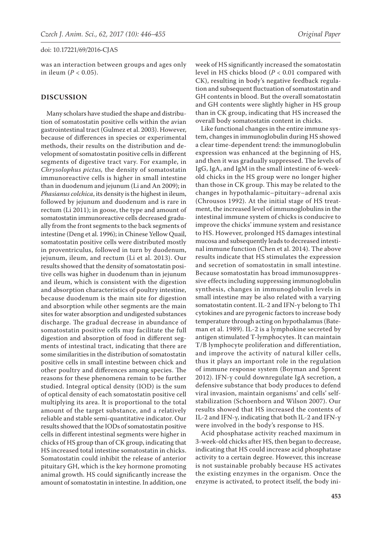was an interaction between groups and ages only in ileum (*P* < 0.05).

## **DISCUSSION**

Many scholars have studied the shape and distribution of somatostatin positive cells within the avian gastrointestinal tract (Gulmez et al. 2003). However, because of differences in species or experimental methods, their results on the distribution and development of somatostatin positive cells in different segments of digestive tract vary. For example, in *Chrysolophus pictus,* the density of somatostatin immunoreactive cells is higher in small intestine than in duodenum and jejunum (Li and An 2009); in *Phasianus colchica*, its density is the highest in ileum, followed by jejunum and duodenum and is rare in rectum (Li 2011); in goose, the type and amount of somatostatin immunoreactive cells decreased gradually from the front segments to the back segments of intestine (Deng et al. 1996); in Chinese Yellow Quail, somatostatin positive cells were distributed mostly in proventriculus, followed in turn by duodenum, jejunum, ileum, and rectum (Li et al. 2013). Our results showed that the density of somatostatin positive cells was higher in duodenum than in jejunum and ileum, which is consistent with the digestion and absorption characteristics of poultry intestine, because duodenum is the main site for digestion and absorption while other segments are the main sites for water absorption and undigested substances discharge. The gradual decrease in abundance of somatostatin positive cells may facilitate the full digestion and absorption of food in different segments of intestinal tract, indicating that there are some similarities in the distribution of somatostatin positive cells in small intestine between chick and other poultry and differences among species. The reasons for these phenomena remain to be further studied. Integral optical density (IOD) is the sum of optical density of each somatostatin positive cell multiplying its area. It is proportional to the total amount of the target substance, and a relatively reliable and stable semi-quantitative indicator. Our results showed that the IODs of somatostatin positive cells in different intestinal segments were higher in chicks of HS group than of CK group, indicating that HS increased total intestine somatostatin in chicks. Somatostatin could inhibit the release of anterior pituitary GH, which is the key hormone promoting animal growth. HS could significantly increase the amount of somatostatin in intestine. In addition, one

week of HS significantly increased the somatostatin level in HS chicks blood (*P* < 0.01 compared with CK), resulting in body's negative feedback regulation and subsequent fluctuation of somatostatin and GH contents in blood. But the overall somatostatin and GH contents were slightly higher in HS group than in CK group, indicating that HS increased the overall body somatostatin content in chicks.

Like functional changes in the entire immune system, changes in immunoglobulin during HS showed a clear time-dependent trend: the immunoglobulin expression was enhanced at the beginning of HS, and then it was gradually suppressed. The levels of IgG, IgA, and IgM in the small intestine of 6-weekold chicks in the HS group were no longer higher than those in CK group. This may be related to the changes in hypothalamic–pituitary–adrenal axis (Chrousos 1992). At the initial stage of HS treatment, the increased level of immunoglobulins in the intestinal immune system of chicks is conducive to improve the chicks' immune system and resistance to HS. However, prolonged HS damages intestinal mucosa and subsequently leads to decreased intestinal immune function (Chen et al. 2014). The above results indicate that HS stimulates the expression and secretion of somatostatin in small intestine. Because somatostatin has broad immunosuppressive effects including suppressing immunoglobulin synthesis, changes in immunoglobulin levels in small intestine may be also related with a varying somatostatin content. IL-2 and IFN-γ belong to Th1 cytokines and are pyrogenic factors to increase body temperature through acting on hypothalamus (Bateman et al. 1989). IL-2 is a lymphokine secreted by antigen stimulated T-lymphocytes. It can maintain T/B lymphocyte proliferation and differentiation, and improve the activity of natural killer cells, thus it plays an important role in the regulation of immune response system (Boyman and Sprent 2012). IFN-γ could downregulate IgA secretion, a defensive substance that body produces to defend viral invasion, maintain organisms' and cells' selfstabilization (Schoenborn and Wilson 2007). Our results showed that HS increased the contents of IL-2 and IFN-γ, indicating that both IL-2 and IFN-γ were involved in the body's response to HS.

Acid phosphatase activity reached maximum in 3-week-old chicks after HS, then began to decrease, indicating that HS could increase acid phosphatase activity to a certain degree. However, this increase is not sustainable probably because HS activates the existing enzymes in the organism. Once the enzyme is activated, to protect itself, the body ini-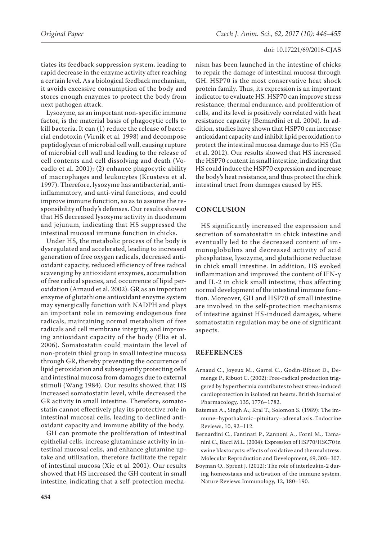tiates its feedback suppression system, leading to rapid decrease in the enzyme activity after reaching a certain level. As a biological feedback mechanism, it avoids excessive consumption of the body and stores enough enzymes to protect the body from next pathogen attack.

Lysozyme, as an important non-specific immune factor, is the material basis of phagocytic cells to kill bacteria. It can (1) reduce the release of bacterial endotoxin (Virnik et al. 1998) and decompose peptidoglycan of microbial cell wall, causing rupture of microbial cell wall and leading to the release of cell contents and cell dissolving and death (Vocadlo et al. 2001); (2) enhance phagocytic ability of macrophages and leukocytes (Krusteva et al. 1997). Therefore, lysozyme has antibacterial, antiinflammatory, and anti-viral functions, and could improve immune function, so as to assume the responsibility of body's defenses. Our results showed that HS decreased lysozyme activity in duodenum and jejunum, indicating that HS suppressed the intestinal mucosal immune function in chicks.

Under HS, the metabolic process of the body is dysregulated and accelerated, leading to increased generation of free oxygen radicals, decreased antioxidant capacity, reduced efficiency of free radical scavenging by antioxidant enzymes, accumulation of free radical species, and occurrence of lipid peroxidation (Arnaud et al. 2002). GR as an important enzyme of glutathione antioxidant enzyme system may synergically function with NADPH and plays an important role in removing endogenous free radicals, maintaining normal metabolism of free radicals and cell membrane integrity, and improving antioxidant capacity of the body (Elia et al. 2006). Somatostatin could maintain the level of non-protein thiol group in small intestine mucosa through GR, thereby preventing the occurrence of lipid peroxidation and subsequently protecting cells and intestinal mucosa from damages due to external stimuli (Wang 1984). Our results showed that HS increased somatostatin level, while decreased the GR activity in small intestine. Therefore, somatostatin cannot effectively play its protective role in intestinal mucosal cells, leading to declined antioxidant capacity and immune ability of the body.

GH can promote the proliferation of intestinal epithelial cells, increase glutaminase activity in intestinal mucosal cells, and enhance glutamine uptake and utilization, therefore facilitate the repair of intestinal mucosa (Xie et al. 2001). Our results showed that HS increased the GH content in small intestine, indicating that a self-protection mechanism has been launched in the intestine of chicks to repair the damage of intestinal mucosa through GH. HSP70 is the most conservative heat shock protein family. Thus, its expression is an important indicator to evaluate HS. HSP70 can improve stress resistance, thermal endurance, and proliferation of cells, and its level is positively correlated with heat resistance capacity (Bemardini et al. 2004). In addition, studies have shown that HSP70 can increase antioxidant capacity and inhibit lipid peroxidation to protect the intestinal mucosa damage due to HS (Gu et al. 2012). Our results showed that HS increased the HSP70 content in small intestine, indicating that HS could induce the HSP70 expression and increase the body's heat resistance, and thus protect the chick intestinal tract from damages caused by HS.

# **CONCLUSION**

HS significantly increased the expression and secretion of somatostatin in chick intestine and eventually led to the decreased content of immunoglobulins and decreased activity of acid phosphatase, lysozyme, and glutathione reductase in chick small intestine. In addition, HS evoked inflammation and improved the content of IFN-γ and IL-2 in chick small intestine, thus affecting normal development of the intestinal immune function. Moreover, GH and HSP70 of small intestine are involved in the self-protection mechanisms of intestine against HS-induced damages, where somatostatin regulation may be one of significant aspects.

# **REFERENCES**

- Arnaud C., Joyeux M., Garrel C., Godin-Ribuot D., Demenge P., Ribuot C. (2002): Free-radical production triggered by hyperthermia contributes to heat stress-induced cardioprotection in isolated rat hearts. British Journal of Pharmacology*,* 135, 1776–1782.
- Bateman A., Singh A., Kral T., Solomon S. (1989): The immune–hypothalamic–pituitary–adrenal axis. Endocrine Reviews, 10, 92–112.
- Bernardini C., Fantinati P., Zannoni A., Forni M., Tamanini C., Bacci M.L. (2004): Expression of HSP70/HSC70 in swine blastocysts: effects of oxidative and thermal stress. Molecular Reproduction and Development, 69, 303–307.
- Boyman O., Sprent J. (2012): The role of interleukin-2 during homeostasis and activation of the immune system. Nature Reviews Immunology, 12, 180–190.